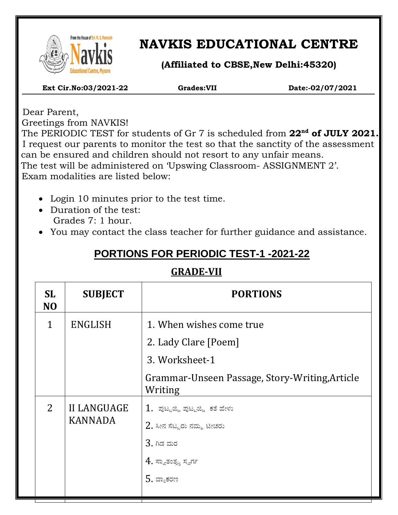

 $\overline{\phantom{a}}$ 

# **NAVKIS EDUCATIONAL CENTRE**

**(Affiliated to CBSE,New Delhi:45320)**

 **Ext Cir.No:03/2021-22 Grades:VII Date:-02/07/2021**

 Dear Parent, Greetings from NAVKIS!

 The PERIODIC TEST for students of Gr 7 is scheduled from **22nd of JULY 2021.** I request our parents to monitor the test so that the sanctity of the assessment can be ensured and children should not resort to any unfair means. The test will be administered on 'Upswing Classroom- ASSIGNMENT 2'. Exam modalities are listed below:

- Login 10 minutes prior to the test time.
- Duration of the test: Grades 7: 1 hour.
- You may contact the class teacher for further guidance and assistance.

## **PORTIONS FOR PERIODIC TEST-1 -2021-22**

### **GRADE-VII**

| <b>SL</b><br>N <sub>O</sub> | <b>SUBJECT</b>                       | <b>PORTIONS</b>                                           |
|-----------------------------|--------------------------------------|-----------------------------------------------------------|
| $\mathbf{1}$                | <b>ENGLISH</b>                       | 1. When wishes come true                                  |
|                             |                                      | 2. Lady Clare [Poem]                                      |
|                             |                                      | 3. Worksheet-1                                            |
|                             |                                      | Grammar-Unseen Passage, Story-Writing, Article<br>Writing |
| 2                           | <b>II LANGUAGE</b><br><b>KANNADA</b> | $1$ . ಪುಟ್ಟಜ್ಜಿ ಪುಟ್ಟಜ್ಜಿ ಕತೆ ಹೇಳು                        |
|                             |                                      | $2$ . ಸೀನ ಸೆಟ್ಟರು ನಮ್ಮ ಟೀಚರು                              |
|                             |                                      | $3.$ ಗಿಡ ಮರ                                               |
|                             |                                      | $4$ . ಸ್ವಾತಂತ್ರ್ಯ ಸ್ವರ್ಗ                                  |
|                             |                                      | $5.$ ವ್ಯಾಕರಣ                                              |
|                             |                                      |                                                           |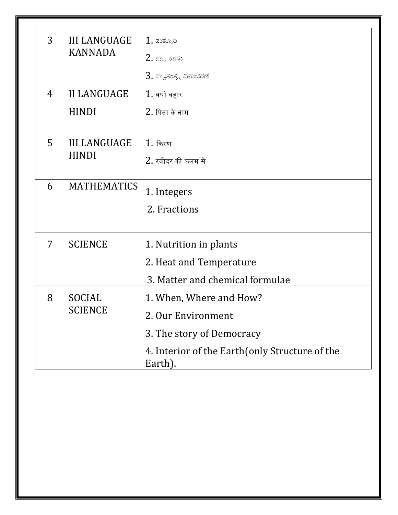| 3 | <b>III LANGUAGE</b><br><b>KANNADA</b> | $1.$ ತುತ್ತೂರಿ                                              |  |
|---|---------------------------------------|------------------------------------------------------------|--|
|   |                                       | $2.$ ನನ್ನ ಕನಸು                                             |  |
|   |                                       | $3$ . ಸ್ವಾತಂತ್ರ್ಯ ದಿನಾಚರಣೆ                                 |  |
| 4 | <b>II LANGUAGE</b>                    | $1.$ वर्षा बहार                                            |  |
|   | <b>HINDI</b>                          | $2.$ पिता के नाम                                           |  |
| 5 | <b>III LANGUAGE</b><br><b>HINDI</b>   | $1.$ किरण                                                  |  |
|   |                                       | 2. रवींदर की कलम से                                        |  |
| 6 | <b>MATHEMATICS</b>                    | 1. Integers                                                |  |
|   |                                       | 2. Fractions                                               |  |
| 7 | <b>SCIENCE</b>                        | 1. Nutrition in plants                                     |  |
|   |                                       | 2. Heat and Temperature                                    |  |
|   |                                       | 3. Matter and chemical formulae                            |  |
| 8 | SOCIAL<br><b>SCIENCE</b>              | 1. When, Where and How?                                    |  |
|   |                                       | 2. Our Environment                                         |  |
|   |                                       | 3. The story of Democracy                                  |  |
|   |                                       | 4. Interior of the Earth (only Structure of the<br>Earth). |  |